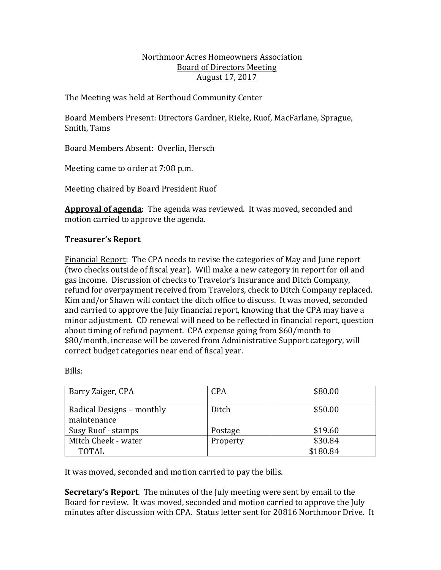## Northmoor Acres Homeowners Association Board of Directors Meeting August 17, 2017

The Meeting was held at Berthoud Community Center

Board Members Present: Directors Gardner, Rieke, Ruof, MacFarlane, Sprague, Smith, Tams

Board Members Absent: Overlin, Hersch

Meeting came to order at 7:08 p.m.

Meeting chaired by Board President Ruof

Approval of agenda: The agenda was reviewed. It was moved, seconded and motion carried to approve the agenda.

# **Treasurer's Report**

Financial Report: The CPA needs to revise the categories of May and June report (two checks outside of fiscal year). Will make a new category in report for oil and gas income. Discussion of checks to Travelor's Insurance and Ditch Company, refund for overpayment received from Travelors, check to Ditch Company replaced. Kim and/or Shawn will contact the ditch office to discuss. It was moved, seconded and carried to approve the July financial report, knowing that the CPA may have a minor adjustment. CD renewal will need to be reflected in financial report, question about timing of refund payment. CPA expense going from \$60/month to \$80/month, increase will be covered from Administrative Support category, will correct budget categories near end of fiscal year.

| Barry Zaiger, CPA         | <b>CPA</b> | \$80.00  |
|---------------------------|------------|----------|
| Radical Designs - monthly | Ditch      | \$50.00  |
| maintenance               |            |          |
| Susy Ruof - stamps        | Postage    | \$19.60  |
| Mitch Cheek - water       | Property   | \$30.84  |
| <b>TOTAL</b>              |            | \$180.84 |

Bills:

It was moved, seconded and motion carried to pay the bills.

**Secretary's Report**. The minutes of the July meeting were sent by email to the Board for review. It was moved, seconded and motion carried to approve the July minutes after discussion with CPA. Status letter sent for 20816 Northmoor Drive. It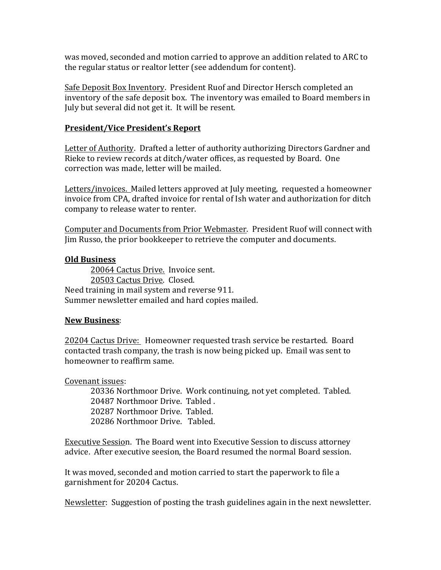was moved, seconded and motion carried to approve an addition related to ARC to the regular status or realtor letter (see addendum for content).

Safe Deposit Box Inventory. President Ruof and Director Hersch completed an inventory of the safe deposit box. The inventory was emailed to Board members in July but several did not get it. It will be resent.

# **President/Vice President's Report**

Letter of Authority. Drafted a letter of authority authorizing Directors Gardner and Rieke to review records at ditch/water offices, as requested by Board. One correction was made, letter will be mailed.

Letters/invoices. Mailed letters approved at July meeting, requested a homeowner invoice from CPA, drafted invoice for rental of Ish water and authorization for ditch company to release water to renter.

Computer and Documents from Prior Webmaster. President Ruof will connect with Jim Russo, the prior bookkeeper to retrieve the computer and documents.

## **Old Business**

20064 Cactus Drive. Invoice sent. 20503 Cactus Drive. Closed. Need training in mail system and reverse 911. Summer newsletter emailed and hard copies mailed.

## **New Business**:

20204 Cactus Drive: Homeowner requested trash service be restarted. Board contacted trash company, the trash is now being picked up. Email was sent to homeowner to reaffirm same.

Covenant issues:

20336 Northmoor Drive. Work continuing, not yet completed. Tabled. 20487 Northmoor Drive. Tabled. 20287 Northmoor Drive. Tabled. 20286 Northmoor Drive. Tabled.

Executive Session. The Board went into Executive Session to discuss attorney advice. After executive seesion, the Board resumed the normal Board session.

It was moved, seconded and motion carried to start the paperwork to file a garnishment for 20204 Cactus.

Newsletter: Suggestion of posting the trash guidelines again in the next newsletter.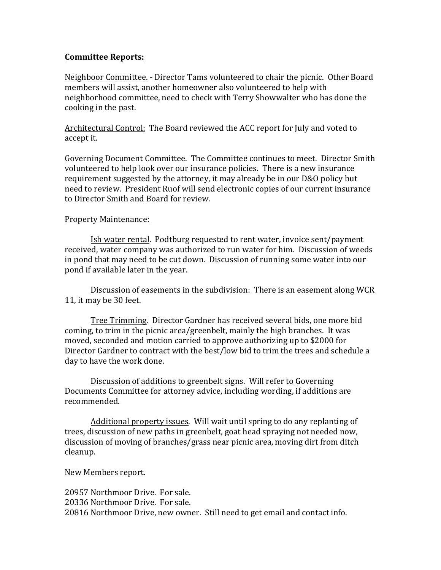## **Committee Reports:**

Neighboor Committee. - Director Tams volunteered to chair the picnic. Other Board members will assist, another homeowner also volunteered to help with neighborhood committee, need to check with Terry Showwalter who has done the cooking in the past.

Architectural Control: The Board reviewed the ACC report for July and voted to accept it.

Governing Document Committee. The Committee continues to meet. Director Smith volunteered to help look over our insurance policies. There is a new insurance requirement suggested by the attorney, it may already be in our D&O policy but need to review. President Ruof will send electronic copies of our current insurance to Director Smith and Board for review.

## Property Maintenance:

Ish water rental. Podtburg requested to rent water, invoice sent/payment received, water company was authorized to run water for him. Discussion of weeds in pond that may need to be cut down. Discussion of running some water into our pond if available later in the year.

Discussion of easements in the subdivision: There is an easement along WCR 11, it may be 30 feet.

Tree Trimming. Director Gardner has received several bids, one more bid coming, to trim in the picnic area/greenbelt, mainly the high branches. It was moved, seconded and motion carried to approve authorizing up to \$2000 for Director Gardner to contract with the best/low bid to trim the trees and schedule a day to have the work done.

Discussion of additions to greenbelt signs. Will refer to Governing Documents Committee for attorney advice, including wording, if additions are recommended. 

Additional property issues. Will wait until spring to do any replanting of trees, discussion of new paths in greenbelt, goat head spraying not needed now, discussion of moving of branches/grass near picnic area, moving dirt from ditch cleanup. 

# New Members report.

20957 Northmoor Drive. For sale. 20336 Northmoor Drive. For sale. 20816 Northmoor Drive, new owner. Still need to get email and contact info.